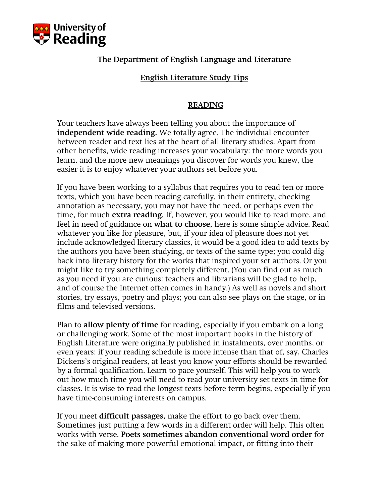

# The Department of English Language and Literature

# English Literature Study Tips

## READING

Your teachers have always been telling you about the importance of independent wide reading. We totally agree. The individual encounter between reader and text lies at the heart of all literary studies. Apart from other benefits, wide reading increases your vocabulary: the more words you learn, and the more new meanings you discover for words you knew, the easier it is to enjoy whatever your authors set before you.

If you have been working to a syllabus that requires you to read ten or more texts, which you have been reading carefully, in their entirety, checking annotation as necessary, you may not have the need, or perhaps even the time, for much extra reading. If, however, you would like to read more, and feel in need of guidance on what to choose, here is some simple advice. Read whatever you like for pleasure, but, if your idea of pleasure does not yet include acknowledged literary classics, it would be a good idea to add texts by the authors you have been studying, or texts of the same type; you could dig back into literary history for the works that inspired your set authors. Or you might like to try something completely different. (You can find out as much as you need if you are curious: teachers and librarians will be glad to help, and of course the Internet often comes in handy.) As well as novels and short stories, try essays, poetry and plays; you can also see plays on the stage, or in films and televised versions.

Plan to allow plenty of time for reading, especially if you embark on a long or challenging work. Some of the most important books in the history of English Literature were originally published in instalments, over months, or even years: if your reading schedule is more intense than that of, say, Charles Dickens's original readers, at least you know your efforts should be rewarded by a formal qualification. Learn to pace yourself. This will help you to work out how much time you will need to read your university set texts in time for classes. It is wise to read the longest texts before term begins, especially if you have time-consuming interests on campus.

If you meet **difficult passages**, make the effort to go back over them. Sometimes just putting a few words in a different order will help. This often works with verse. Poets sometimes abandon conventional word order for the sake of making more powerful emotional impact, or fitting into their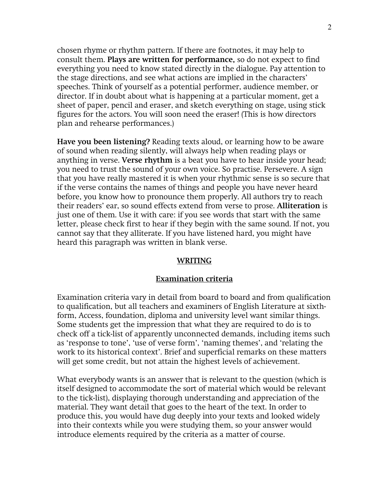chosen rhyme or rhythm pattern. If there are footnotes, it may help to consult them. Plays are written for performance, so do not expect to find everything you need to know stated directly in the dialogue. Pay attention to the stage directions, and see what actions are implied in the characters' speeches. Think of yourself as a potential performer, audience member, or director. If in doubt about what is happening at a particular moment, get a sheet of paper, pencil and eraser, and sketch everything on stage, using stick figures for the actors. You will soon need the eraser! (This is how directors plan and rehearse performances.)

Have you been listening? Reading texts aloud, or learning how to be aware of sound when reading silently, will always help when reading plays or anything in verse. Verse rhythm is a beat you have to hear inside your head; you need to trust the sound of your own voice. So practise. Persevere. A sign that you have really mastered it is when your rhythmic sense is so secure that if the verse contains the names of things and people you have never heard before, you know how to pronounce them properly. All authors try to reach their readers' ear, so sound effects extend from verse to prose. Alliteration is just one of them. Use it with care: if you see words that start with the same letter, please check first to hear if they begin with the same sound. If not, you cannot say that they alliterate. If you have listened hard, you might have heard this paragraph was written in blank verse.

### WRITING

### Examination criteria

Examination criteria vary in detail from board to board and from qualification to qualification, but all teachers and examiners of English Literature at sixthform, Access, foundation, diploma and university level want similar things. Some students get the impression that what they are required to do is to check off a tick-list of apparently unconnected demands, including items such as 'response to tone', 'use of verse form', 'naming themes', and 'relating the work to its historical context'. Brief and superficial remarks on these matters will get some credit, but not attain the highest levels of achievement.

What everybody wants is an answer that is relevant to the question (which is itself designed to accommodate the sort of material which would be relevant to the tick-list), displaying thorough understanding and appreciation of the material. They want detail that goes to the heart of the text. In order to produce this, you would have dug deeply into your texts and looked widely into their contexts while you were studying them, so your answer would introduce elements required by the criteria as a matter of course.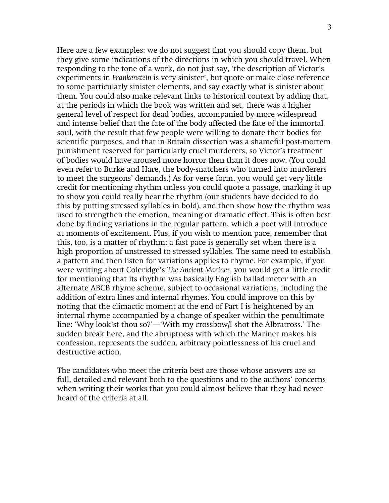Here are a few examples: we do not suggest that you should copy them, but they give some indications of the directions in which you should travel. When responding to the tone of a work, do not just say, 'the description of Victor's experiments in Frankenstein is very sinister', but quote or make close reference to some particularly sinister elements, and say exactly what is sinister about them. You could also make relevant links to historical context by adding that, at the periods in which the book was written and set, there was a higher general level of respect for dead bodies, accompanied by more widespread and intense belief that the fate of the body affected the fate of the immortal soul, with the result that few people were willing to donate their bodies for scientific purposes, and that in Britain dissection was a shameful post-mortem punishment reserved for particularly cruel murderers, so Victor's treatment of bodies would have aroused more horror then than it does now. (You could even refer to Burke and Hare, the body-snatchers who turned into murderers to meet the surgeons' demands.) As for verse form, you would get very little credit for mentioning rhythm unless you could quote a passage, marking it up to show you could really hear the rhythm (our students have decided to do this by putting stressed syllables in bold), and then show how the rhythm was used to strengthen the emotion, meaning or dramatic effect. This is often best done by finding variations in the regular pattern, which a poet will introduce at moments of excitement. Plus, if you wish to mention pace, remember that this, too, is a matter of rhythm: a fast pace is generally set when there is a high proportion of unstressed to stressed syllables. The same need to establish a pattern and then listen for variations applies to rhyme. For example, if you were writing about Coleridge's The Ancient Mariner, you would get a little credit for mentioning that its rhythm was basically English ballad meter with an alternate ABCB rhyme scheme, subject to occasional variations, including the addition of extra lines and internal rhymes. You could improve on this by noting that the climactic moment at the end of Part I is heightened by an internal rhyme accompanied by a change of speaker within the penultimate line: 'Why look'st thou so?'—'With my crossbow/I shot the Albratross.' The sudden break here, and the abruptness with which the Mariner makes his confession, represents the sudden, arbitrary pointlessness of his cruel and destructive action.

The candidates who meet the criteria best are those whose answers are so full, detailed and relevant both to the questions and to the authors' concerns when writing their works that you could almost believe that they had never heard of the criteria at all.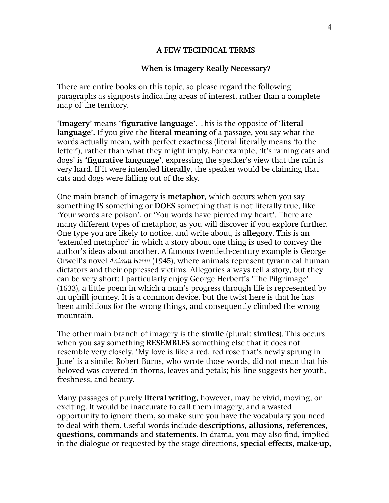### A FEW TECHNICAL TERMS

### When is Imagery Really Necessary?

There are entire books on this topic, so please regard the following paragraphs as signposts indicating areas of interest, rather than a complete map of the territory.

'Imagery' means 'figurative language'. This is the opposite of 'literal language'. If you give the literal meaning of a passage, you say what the words actually mean, with perfect exactness (literal literally means 'to the letter'), rather than what they might imply. For example, 'It's raining cats and dogs' is 'figurative language', expressing the speaker's view that the rain is very hard. If it were intended literally, the speaker would be claiming that cats and dogs were falling out of the sky.

One main branch of imagery is metaphor, which occurs when you say something IS something or DOES something that is not literally true, like 'Your words are poison', or 'You words have pierced my heart'. There are many different types of metaphor, as you will discover if you explore further. One type you are likely to notice, and write about, is allegory. This is an 'extended metaphor' in which a story about one thing is used to convey the author's ideas about another. A famous twentieth-century example is George Orwell's novel Animal Farm (1945), where animals represent tyrannical human dictators and their oppressed victims. Allegories always tell a story, but they can be very short: I particularly enjoy George Herbert's 'The Pilgrimage' (1633), a little poem in which a man's progress through life is represented by an uphill journey. It is a common device, but the twist here is that he has been ambitious for the wrong things, and consequently climbed the wrong mountain.

The other main branch of imagery is the **simile** (plural: **similes**). This occurs when you say something **RESEMBLES** something else that it does not resemble very closely. 'My love is like a red, red rose that's newly sprung in June' is a simile: Robert Burns, who wrote those words, did not mean that his beloved was covered in thorns, leaves and petals; his line suggests her youth, freshness, and beauty.

Many passages of purely literal writing, however, may be vivid, moving, or exciting. It would be inaccurate to call them imagery, and a wasted opportunity to ignore them, so make sure you have the vocabulary you need to deal with them. Useful words include descriptions, allusions, references, questions, commands and statements. In drama, you may also find, implied in the dialogue or requested by the stage directions, special effects, make-up,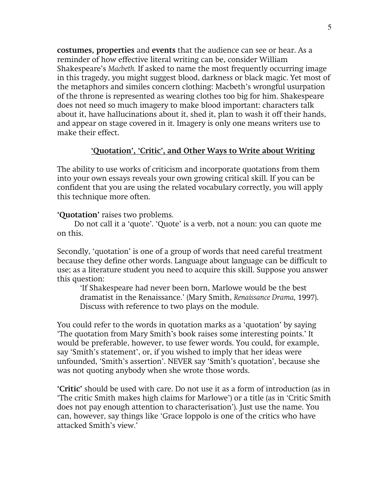costumes, properties and events that the audience can see or hear. As a reminder of how effective literal writing can be, consider William Shakespeare's Macbeth. If asked to name the most frequently occurring image in this tragedy, you might suggest blood, darkness or black magic. Yet most of the metaphors and similes concern clothing: Macbeth's wrongful usurpation of the throne is represented as wearing clothes too big for him. Shakespeare does not need so much imagery to make blood important: characters talk about it, have hallucinations about it, shed it, plan to wash it off their hands, and appear on stage covered in it. Imagery is only one means writers use to make their effect.

#### 'Quotation', 'Critic', and Other Ways to Write about Writing

The ability to use works of criticism and incorporate quotations from them into your own essays reveals your own growing critical skill. If you can be confident that you are using the related vocabulary correctly, you will apply this technique more often.

'Quotation' raises two problems.

Do not call it a 'quote'. 'Quote' is a verb, not a noun: you can quote me on this.

Secondly, 'quotation' is one of a group of words that need careful treatment because they define other words. Language about language can be difficult to use; as a literature student you need to acquire this skill. Suppose you answer this question:

'If Shakespeare had never been born, Marlowe would be the best dramatist in the Renaissance.' (Mary Smith, Renaissance Drama, 1997). Discuss with reference to two plays on the module.

You could refer to the words in quotation marks as a 'quotation' by saying 'The quotation from Mary Smith's book raises some interesting points.' It would be preferable, however, to use fewer words. You could, for example, say 'Smith's statement', or, if you wished to imply that her ideas were unfounded, 'Smith's assertion'. NEVER say 'Smith's quotation', because she was not quoting anybody when she wrote those words.

'Critic' should be used with care. Do not use it as a form of introduction (as in 'The critic Smith makes high claims for Marlowe') or a title (as in 'Critic Smith does not pay enough attention to characterisation'). Just use the name. You can, however, say things like 'Grace Ioppolo is one of the critics who have attacked Smith's view.'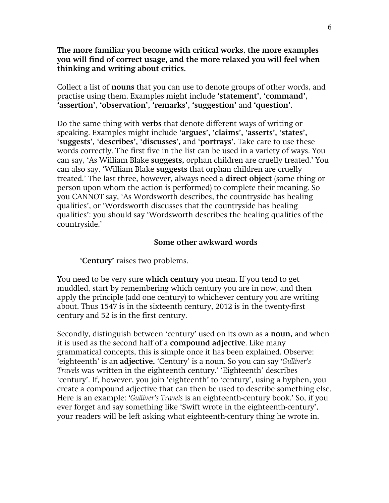The more familiar you become with critical works, the more examples you will find of correct usage, and the more relaxed you will feel when thinking and writing about critics.

Collect a list of nouns that you can use to denote groups of other words, and practise using them. Examples might include 'statement', 'command', 'assertion', 'observation', 'remarks', 'suggestion' and 'question'.

Do the same thing with **verbs** that denote different ways of writing or speaking. Examples might include 'argues', 'claims', 'asserts', 'states', 'suggests', 'describes', 'discusses', and 'portrays'. Take care to use these words correctly. The first five in the list can be used in a variety of ways. You can say, 'As William Blake suggests, orphan children are cruelly treated.' You can also say, 'William Blake suggests that orphan children are cruelly treated.' The last three, however, always need a direct object (some thing or person upon whom the action is performed) to complete their meaning. So you CANNOT say, 'As Wordsworth describes, the countryside has healing qualities', or 'Wordsworth discusses that the countryside has healing qualities': you should say 'Wordsworth describes the healing qualities of the countryside.'

#### Some other awkward words

'Century' raises two problems.

You need to be very sure which century you mean. If you tend to get muddled, start by remembering which century you are in now, and then apply the principle (add one century) to whichever century you are writing about. Thus 1547 is in the sixteenth century, 2012 is in the twenty-first century and 52 is in the first century.

Secondly, distinguish between 'century' used on its own as a **noun**, and when it is used as the second half of a compound adjective. Like many grammatical concepts, this is simple once it has been explained. Observe: 'eighteenth' is an adjective. 'Century' is a noun. So you can say 'Gulliver's Travels was written in the eighteenth century.' 'Eighteenth' describes 'century'. If, however, you join 'eighteenth' to 'century', using a hyphen, you create a compound adjective that can then be used to describe something else. Here is an example: 'Gulliver's Travels is an eighteenth-century book.' So, if you ever forget and say something like 'Swift wrote in the eighteenth-century', your readers will be left asking what eighteenth-century thing he wrote in.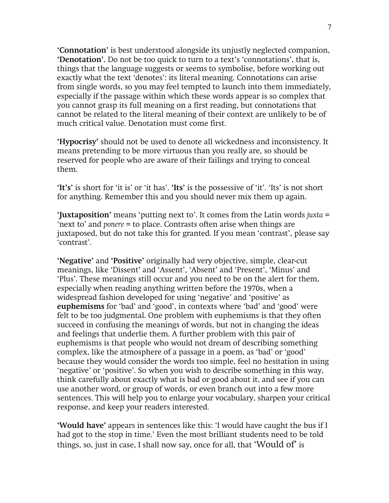'Connotation' is best understood alongside its unjustly neglected companion, 'Denotation'. Do not be too quick to turn to a text's 'connotations', that is, things that the language suggests or seems to symbolise, before working out exactly what the text 'denotes': its literal meaning. Connotations can arise from single words, so you may feel tempted to launch into them immediately, especially if the passage within which these words appear is so complex that you cannot grasp its full meaning on a first reading, but connotations that cannot be related to the literal meaning of their context are unlikely to be of much critical value. Denotation must come first.

'Hypocrisy' should not be used to denote all wickedness and inconsistency. It means pretending to be more virtuous than you really are, so should be reserved for people who are aware of their failings and trying to conceal them.

'It's' is short for 'it is' or 'it has'. 'Its' is the possessive of 'it'. 'Its' is not short for anything. Remember this and you should never mix them up again.

'Juxtaposition' means 'putting next to'. It comes from the Latin words juxta = 'next to' and ponere = to place. Contrasts often arise when things are juxtaposed, but do not take this for granted. If you mean 'contrast', please say 'contrast'.

'Negative' and 'Positive' originally had very objective, simple, clear-cut meanings, like 'Dissent' and 'Assent', 'Absent' and 'Present', 'Minus' and 'Plus'. These meanings still occur and you need to be on the alert for them, especially when reading anything written before the 1970s, when a widespread fashion developed for using 'negative' and 'positive' as euphemisms for 'bad' and 'good', in contexts where 'bad' and 'good' were felt to be too judgmental. One problem with euphemisms is that they often succeed in confusing the meanings of words, but not in changing the ideas and feelings that underlie them. A further problem with this pair of euphemisms is that people who would not dream of describing something complex, like the atmosphere of a passage in a poem, as 'bad' or 'good' because they would consider the words too simple, feel no hesitation in using 'negative' or 'positive'. So when you wish to describe something in this way, think carefully about exactly what is bad or good about it, and see if you can use another word, or group of words, or even branch out into a few more sentences. This will help you to enlarge your vocabulary, sharpen your critical response, and keep your readers interested.

'Would have' appears in sentences like this: 'I would have caught the bus if I had got to the stop in time.' Even the most brilliant students need to be told things, so, just in case, I shall now say, once for all, that 'Would of' is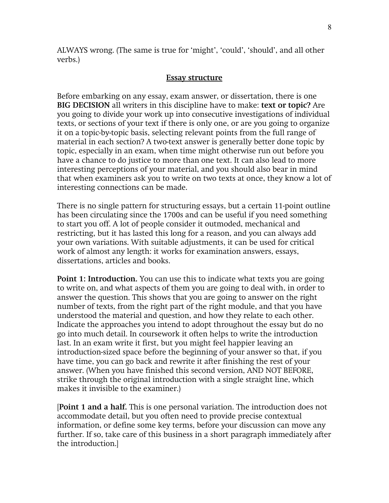ALWAYS wrong. (The same is true for 'might', 'could', 'should', and all other verbs.)

### Essay structure

Before embarking on any essay, exam answer, or dissertation, there is one BIG DECISION all writers in this discipline have to make: text or topic? Are you going to divide your work up into consecutive investigations of individual texts, or sections of your text if there is only one, or are you going to organize it on a topic-by-topic basis, selecting relevant points from the full range of material in each section? A two-text answer is generally better done topic by topic, especially in an exam, when time might otherwise run out before you have a chance to do justice to more than one text. It can also lead to more interesting perceptions of your material, and you should also bear in mind that when examiners ask you to write on two texts at once, they know a lot of interesting connections can be made.

There is no single pattern for structuring essays, but a certain 11-point outline has been circulating since the 1700s and can be useful if you need something to start you off. A lot of people consider it outmoded, mechanical and restricting, but it has lasted this long for a reason, and you can always add your own variations. With suitable adjustments, it can be used for critical work of almost any length: it works for examination answers, essays, dissertations, articles and books.

**Point 1: Introduction.** You can use this to indicate what texts you are going to write on, and what aspects of them you are going to deal with, in order to answer the question. This shows that you are going to answer on the right number of texts, from the right part of the right module, and that you have understood the material and question, and how they relate to each other. Indicate the approaches you intend to adopt throughout the essay but do no go into much detail. In coursework it often helps to write the introduction last. In an exam write it first, but you might feel happier leaving an introduction-sized space before the beginning of your answer so that, if you have time, you can go back and rewrite it after finishing the rest of your answer. (When you have finished this second version, AND NOT BEFORE, strike through the original introduction with a single straight line, which makes it invisible to the examiner.)

[Point 1 and a half. This is one personal variation. The introduction does not accommodate detail, but you often need to provide precise contextual information, or define some key terms, before your discussion can move any further. If so, take care of this business in a short paragraph immediately after the introduction.]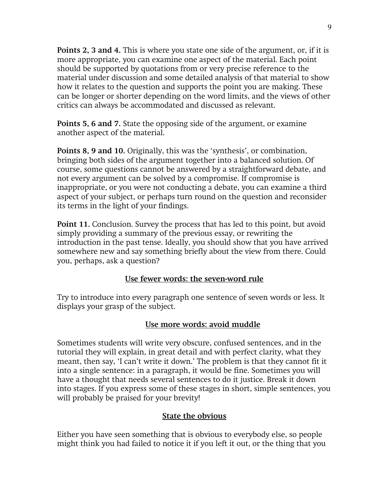Points 2, 3 and 4. This is where you state one side of the argument, or, if it is more appropriate, you can examine one aspect of the material. Each point should be supported by quotations from or very precise reference to the material under discussion and some detailed analysis of that material to show how it relates to the question and supports the point you are making. These can be longer or shorter depending on the word limits, and the views of other critics can always be accommodated and discussed as relevant.

Points 5, 6 and 7. State the opposing side of the argument, or examine another aspect of the material.

Points 8, 9 and 10. Originally, this was the 'synthesis', or combination, bringing both sides of the argument together into a balanced solution. Of course, some questions cannot be answered by a straightforward debate, and not every argument can be solved by a compromise. If compromise is inappropriate, or you were not conducting a debate, you can examine a third aspect of your subject, or perhaps turn round on the question and reconsider its terms in the light of your findings.

Point 11. Conclusion. Survey the process that has led to this point, but avoid simply providing a summary of the previous essay, or rewriting the introduction in the past tense. Ideally, you should show that you have arrived somewhere new and say something briefly about the view from there. Could you, perhaps, ask a question?

# Use fewer words: the seven-word rule

Try to introduce into every paragraph one sentence of seven words or less. It displays your grasp of the subject.

# Use more words: avoid muddle

Sometimes students will write very obscure, confused sentences, and in the tutorial they will explain, in great detail and with perfect clarity, what they meant, then say, 'I can't write it down.' The problem is that they cannot fit it into a single sentence: in a paragraph, it would be fine. Sometimes you will have a thought that needs several sentences to do it justice. Break it down into stages. If you express some of these stages in short, simple sentences, you will probably be praised for your brevity!

# State the obvious

Either you have seen something that is obvious to everybody else, so people might think you had failed to notice it if you left it out, or the thing that you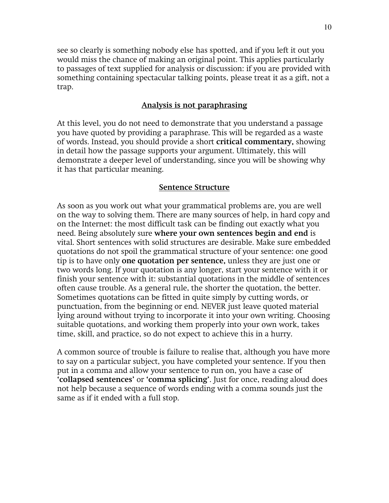see so clearly is something nobody else has spotted, and if you left it out you would miss the chance of making an original point. This applies particularly to passages of text supplied for analysis or discussion: if you are provided with something containing spectacular talking points, please treat it as a gift, not a trap.

### Analysis is not paraphrasing

At this level, you do not need to demonstrate that you understand a passage you have quoted by providing a paraphrase. This will be regarded as a waste of words. Instead, you should provide a short critical commentary, showing in detail how the passage supports your argument. Ultimately, this will demonstrate a deeper level of understanding, since you will be showing why it has that particular meaning.

#### Sentence Structure

As soon as you work out what your grammatical problems are, you are well on the way to solving them. There are many sources of help, in hard copy and on the Internet: the most difficult task can be finding out exactly what you need. Being absolutely sure where your own sentences begin and end is vital. Short sentences with solid structures are desirable. Make sure embedded quotations do not spoil the grammatical structure of your sentence: one good tip is to have only **one quotation per sentence**, unless they are just one or two words long. If your quotation is any longer, start your sentence with it or finish your sentence with it: substantial quotations in the middle of sentences often cause trouble. As a general rule, the shorter the quotation, the better. Sometimes quotations can be fitted in quite simply by cutting words, or punctuation, from the beginning or end. NEVER just leave quoted material lying around without trying to incorporate it into your own writing. Choosing suitable quotations, and working them properly into your own work, takes time, skill, and practice, so do not expect to achieve this in a hurry.

A common source of trouble is failure to realise that, although you have more to say on a particular subject, you have completed your sentence. If you then put in a comma and allow your sentence to run on, you have a case of 'collapsed sentences' or 'comma splicing'. Just for once, reading aloud does not help because a sequence of words ending with a comma sounds just the same as if it ended with a full stop.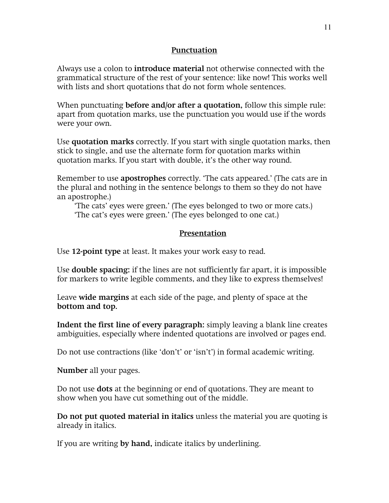### Punctuation

Always use a colon to **introduce material** not otherwise connected with the grammatical structure of the rest of your sentence: like now! This works well with lists and short quotations that do not form whole sentences.

When punctuating **before and/or after a quotation**, follow this simple rule: apart from quotation marks, use the punctuation you would use if the words were your own.

Use quotation marks correctly. If you start with single quotation marks, then stick to single, and use the alternate form for quotation marks within quotation marks. If you start with double, it's the other way round.

Remember to use apostrophes correctly. 'The cats appeared.' (The cats are in the plural and nothing in the sentence belongs to them so they do not have an apostrophe.)

'The cats' eyes were green.' (The eyes belonged to two or more cats.) 'The cat's eyes were green.' (The eyes belonged to one cat.)

# Presentation

Use 12-point type at least. It makes your work easy to read.

Use double spacing: if the lines are not sufficiently far apart, it is impossible for markers to write legible comments, and they like to express themselves!

Leave wide margins at each side of the page, and plenty of space at the bottom and top.

Indent the first line of every paragraph: simply leaving a blank line creates ambiguities, especially where indented quotations are involved or pages end.

Do not use contractions (like 'don't' or 'isn't') in formal academic writing.

Number all your pages.

Do not use dots at the beginning or end of quotations. They are meant to show when you have cut something out of the middle.

Do not put quoted material in italics unless the material you are quoting is already in italics.

If you are writing by hand, indicate italics by underlining.